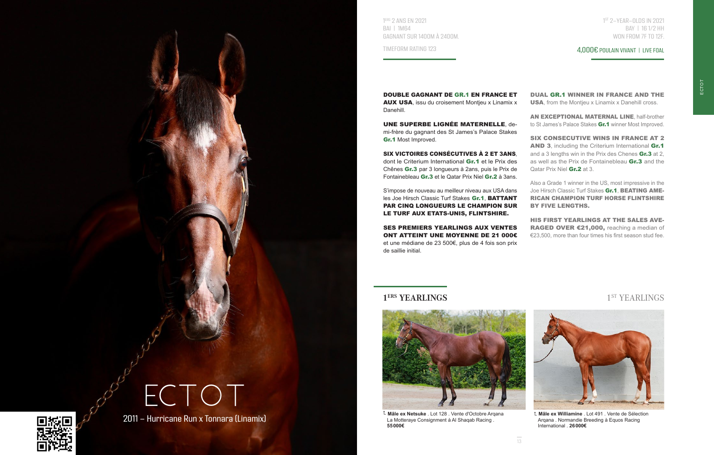

1 ERS 2 ANS EN 2021 BAI | 1M64 GAGNANT SUR 1400M À 2400M.

TIMEFORM RATING 123

1 ST 2-YEAR-OLDS IN 2021 BAY | 16 1/2 HH WON FROM 7F TO 12F.

4,000€ POULAIN VIVANT | LIVE FOAL

DOUBLE GAGNANT DE GR.1 EN FRANCE ET AUX USA, issu du croisement Montjeu x Linamix x Danehill.

UNE SUPERBE LIGNÉE MATERNELLE demi-frère du gagnant des St James's Palace Stakes Gr.1 Most Improved.

SIX VICTOIRES CONSÉCUTIVES À 2 ET 3ANS, dont le Criterium International Gr.1 et le Prix des Chênes Gr.3 par 3 longueurs à 2ans, puis le Prix de Fontainebleau Gr.3 et le Qatar Prix Niel Gr.2 à 3ans.

S'impose de nouveau au meilleur niveau aux USA dans les Joe Hirsch Classic Turf Stakes Gr.1, BATTANT PAR CINQ LONGUEURS LE CHAMPION SUR LE TURF AUX ETATS-UNIS, FLINTSHIRE.

SES PREMIERS YEARLINGS AUX VENTES ONT ATTEINT UNE MOYENNE DE 21 000€ et une médiane de 23 500€, plus de 4 fois son prix de saillie initial.

DUAL GR.1 WINNER IN FRANCE AND THE USA, from the Montjeu x Linamix x Danehill cross.

AN EXCEPTIONAL MATERNAL LINE, half-brother to St James's Palace Stakes Gr.1 winner Most Improved.

SIX CONSECUTIVE WINS IN FRANCE AT 2 AND 3, including the Criterium International Gr.1 and a 3 lengths win in the Prix des Chenes Gr.3 at 2, as well as the Prix de Fontainebleau Gr.3 and the Qatar Prix Niel Gr.2 at 3.

Also a Grade 1 winner in the US, most impressive in the Joe Hirsch Classic Turf Stakes Gr.1, BEATING AME-RICAN CHAMPION TURF HORSE FLINTSHIRE BY FIVE LENGTHS.

HIS FIRST YEARLINGS AT THE SALES AVE-RAGED OVER €21,000, reaching a median of €23,500, more than four times his first season stud fee.

## **1<sup>ERS</sup> YEARLINGS** 1<sup>ST</sup> YEARLINGS



 **Mâle ex Netsuke** . Lot 128 . Vente d'Octobre Arqana La Motteraye Consignment à Al Shaqab Racing . **55000€**



 **Mâle ex Williamine** . Lot 491 . Vente de Sélection Arqana . Normandie Breeding à Equos Racing International . **26000€**